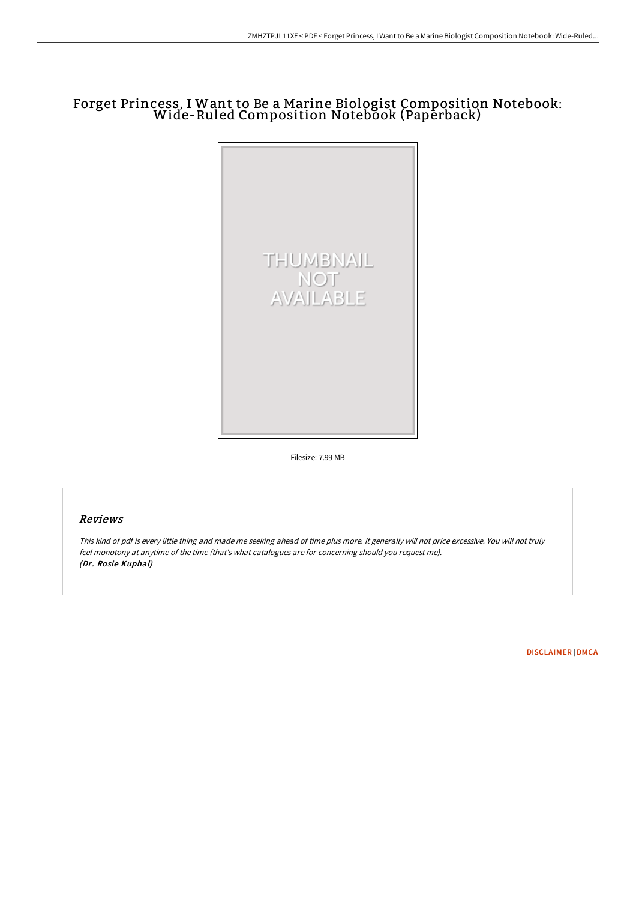## Forget Princess, I Want to Be a Marine Biologist Composition Notebook: Wide-Ruled Composition Notebook (Paperback)



Filesize: 7.99 MB

## Reviews

This kind of pdf is every little thing and made me seeking ahead of time plus more. It generally will not price excessive. You will not truly feel monotony at anytime of the time (that's what catalogues are for concerning should you request me). (Dr. Rosie Kuphal)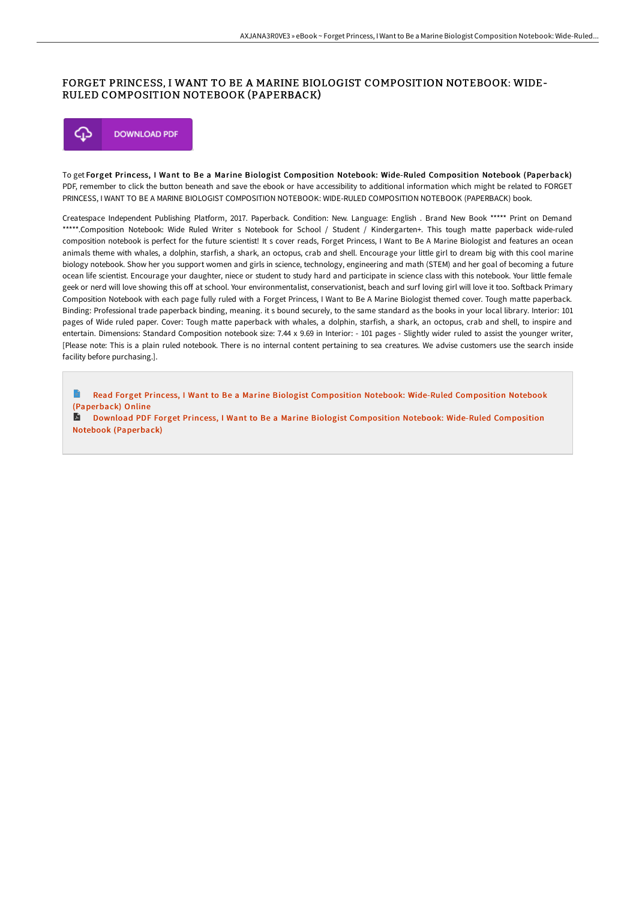## FORGET PRINCESS, I WANT TO BE A MARINE BIOLOGIST COMPOSITION NOTEBOOK: WIDE-RULED COMPOSITION NOTEBOOK (PAPERBACK)



To get Forget Princess, I Want to Be a Marine Biologist Composition Notebook: Wide-Ruled Composition Notebook (Paperback) PDF, remember to click the button beneath and save the ebook or have accessibility to additional information which might be related to FORGET PRINCESS, I WANT TO BE A MARINE BIOLOGIST COMPOSITION NOTEBOOK: WIDE-RULED COMPOSITION NOTEBOOK (PAPERBACK) book.

Createspace Independent Publishing Platform, 2017. Paperback. Condition: New. Language: English . Brand New Book \*\*\*\*\* Print on Demand \*\*\*\*\*.Composition Notebook: Wide Ruled Writer s Notebook for School / Student / Kindergarten+. This tough matte paperback wide-ruled composition notebook is perfect for the future scientist! It s cover reads, Forget Princess, I Want to Be A Marine Biologist and features an ocean animals theme with whales, a dolphin, starfish, a shark, an octopus, crab and shell. Encourage your little girl to dream big with this cool marine biology notebook. Show her you support women and girls in science, technology, engineering and math (STEM) and her goal of becoming a future ocean life scientist. Encourage your daughter, niece or student to study hard and participate in science class with this notebook. Your little female geek or nerd will love showing this off at school. Your environmentalist, conservationist, beach and surf loving girl will love it too. Softback Primary Composition Notebook with each page fully ruled with a Forget Princess, I Want to Be A Marine Biologist themed cover. Tough matte paperback. Binding: Professional trade paperback binding, meaning. it s bound securely, to the same standard as the books in your local library. Interior: 101 pages of Wide ruled paper. Cover: Tough matte paperback with whales, a dolphin, starfish, a shark, an octopus, crab and shell, to inspire and entertain. Dimensions: Standard Composition notebook size: 7.44 x 9.69 in Interior: - 101 pages - Slightly wider ruled to assist the younger writer, [Please note: This is a plain ruled notebook. There is no internal content pertaining to sea creatures. We advise customers use the search inside facility before purchasing.].

H Read Forget Princess, I Want to Be a Marine Biologist [Composition](http://techno-pub.tech/forget-princess-i-want-to-be-a-marine-biologist-.html) Notebook: Wide-Ruled Composition Notebook (Paperback) Online

Download PDF Forget Princess, I Want to Be a Marine Biologist [Composition](http://techno-pub.tech/forget-princess-i-want-to-be-a-marine-biologist-.html) Notebook: Wide-Ruled Composition Notebook (Paperback)